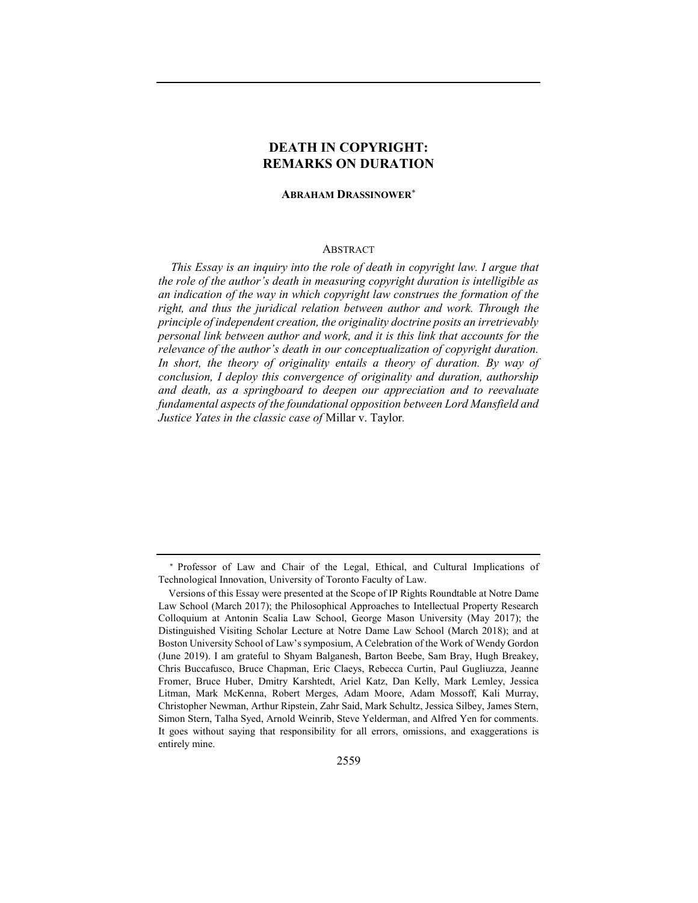# DEATH IN COPYRIGHT: REMARKS ON DURATION

#### ABRAHAM DRASSINOWER

### ABSTRACT

This Essay is an inquiry into the role of death in copyright law. I argue that the role of the author's death in measuring copyright duration is intelligible as an indication of the way in which copyright law construes the formation of the right, and thus the juridical relation between author and work. Through the principle of independent creation, the originality doctrine posits an irretrievably personal link between author and work, and it is this link that accounts for the relevance of the author's death in our conceptualization of copyright duration. In short, the theory of originality entails a theory of duration. By way of conclusion, I deploy this convergence of originality and duration, authorship and death, as a springboard to deepen our appreciation and to reevaluate fundamental aspects of the foundational opposition between Lord Mansfield and Justice Yates in the classic case of Millar v. Taylor.

Professor of Law and Chair of the Legal, Ethical, and Cultural Implications of Technological Innovation, University of Toronto Faculty of Law.

Versions of this Essay were presented at the Scope of IP Rights Roundtable at Notre Dame Law School (March 2017); the Philosophical Approaches to Intellectual Property Research Colloquium at Antonin Scalia Law School, George Mason University (May 2017); the Distinguished Visiting Scholar Lecture at Notre Dame Law School (March 2018); and at Boston University School of Law's symposium, A Celebration of the Work of Wendy Gordon (June 2019). I am grateful to Shyam Balganesh, Barton Beebe, Sam Bray, Hugh Breakey, Chris Buccafusco, Bruce Chapman, Eric Claeys, Rebecca Curtin, Paul Gugliuzza, Jeanne Fromer, Bruce Huber, Dmitry Karshtedt, Ariel Katz, Dan Kelly, Mark Lemley, Jessica Litman, Mark McKenna, Robert Merges, Adam Moore, Adam Mossoff, Kali Murray, Christopher Newman, Arthur Ripstein, Zahr Said, Mark Schultz, Jessica Silbey, James Stern, Simon Stern, Talha Syed, Arnold Weinrib, Steve Yelderman, and Alfred Yen for comments. It goes without saying that responsibility for all errors, omissions, and exaggerations is entirely mine.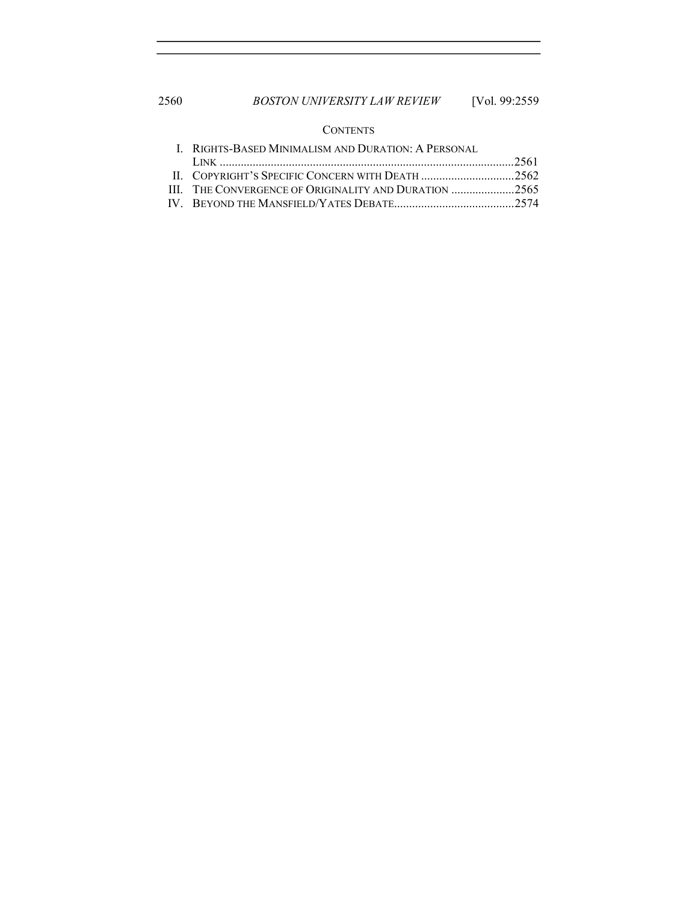## **CONTENTS**

| <b>I. RIGHTS-BASED MINIMALISM AND DURATION: A PERSONAL</b> |  |
|------------------------------------------------------------|--|
|                                                            |  |
|                                                            |  |
|                                                            |  |
|                                                            |  |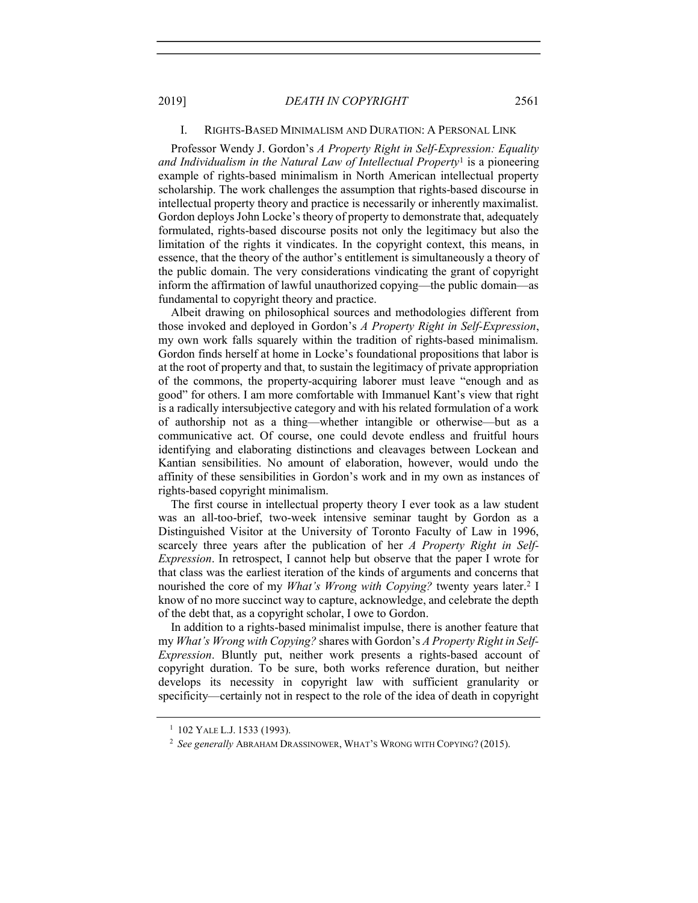### I. RIGHTS-BASED MINIMALISM AND DURATION: A PERSONAL LINK

Professor Wendy J. Gordon's A Property Right in Self-Expression: Equality and Individualism in the Natural Law of Intellectual Property<sup>1</sup> is a pioneering example of rights-based minimalism in North American intellectual property scholarship. The work challenges the assumption that rights-based discourse in intellectual property theory and practice is necessarily or inherently maximalist. Gordon deploys John Locke's theory of property to demonstrate that, adequately formulated, rights-based discourse posits not only the legitimacy but also the limitation of the rights it vindicates. In the copyright context, this means, in essence, that the theory of the author's entitlement is simultaneously a theory of the public domain. The very considerations vindicating the grant of copyright inform the affirmation of lawful unauthorized copying—the public domain—as fundamental to copyright theory and practice.

Albeit drawing on philosophical sources and methodologies different from those invoked and deployed in Gordon's A Property Right in Self-Expression, my own work falls squarely within the tradition of rights-based minimalism. Gordon finds herself at home in Locke's foundational propositions that labor is at the root of property and that, to sustain the legitimacy of private appropriation of the commons, the property-acquiring laborer must leave "enough and as good" for others. I am more comfortable with Immanuel Kant's view that right is a radically intersubjective category and with his related formulation of a work of authorship not as a thing—whether intangible or otherwise—but as a communicative act. Of course, one could devote endless and fruitful hours identifying and elaborating distinctions and cleavages between Lockean and Kantian sensibilities. No amount of elaboration, however, would undo the affinity of these sensibilities in Gordon's work and in my own as instances of rights-based copyright minimalism.

The first course in intellectual property theory I ever took as a law student was an all-too-brief, two-week intensive seminar taught by Gordon as a Distinguished Visitor at the University of Toronto Faculty of Law in 1996, scarcely three years after the publication of her A Property Right in Self-Expression. In retrospect, I cannot help but observe that the paper I wrote for that class was the earliest iteration of the kinds of arguments and concerns that nourished the core of my *What's Wrong with Copying?* twenty years later.<sup>2</sup> I know of no more succinct way to capture, acknowledge, and celebrate the depth of the debt that, as a copyright scholar, I owe to Gordon.

In addition to a rights-based minimalist impulse, there is another feature that my What's Wrong with Copying? shares with Gordon's A Property Right in Self-Expression. Bluntly put, neither work presents a rights-based account of copyright duration. To be sure, both works reference duration, but neither develops its necessity in copyright law with sufficient granularity or specificity—certainly not in respect to the role of the idea of death in copyright

<sup>1</sup> 102 YALE L.J. 1533 (1993).

<sup>&</sup>lt;sup>2</sup> See generally ABRAHAM DRASSINOWER, WHAT'S WRONG WITH COPYING? (2015).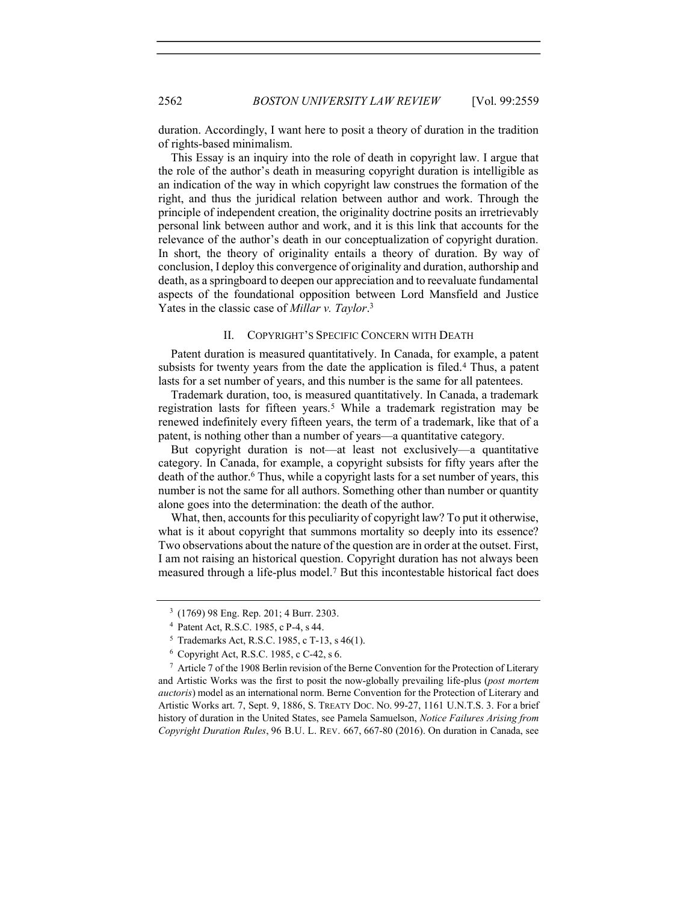duration. Accordingly, I want here to posit a theory of duration in the tradition of rights-based minimalism.

This Essay is an inquiry into the role of death in copyright law. I argue that the role of the author's death in measuring copyright duration is intelligible as an indication of the way in which copyright law construes the formation of the right, and thus the juridical relation between author and work. Through the principle of independent creation, the originality doctrine posits an irretrievably personal link between author and work, and it is this link that accounts for the relevance of the author's death in our conceptualization of copyright duration. In short, the theory of originality entails a theory of duration. By way of conclusion, I deploy this convergence of originality and duration, authorship and death, as a springboard to deepen our appreciation and to reevaluate fundamental aspects of the foundational opposition between Lord Mansfield and Justice Yates in the classic case of *Millar v. Taylor*.<sup>3</sup>

### II. COPYRIGHT'S SPECIFIC CONCERN WITH DEATH

Patent duration is measured quantitatively. In Canada, for example, a patent subsists for twenty years from the date the application is filed.<sup>4</sup> Thus, a patent lasts for a set number of years, and this number is the same for all patentees.

Trademark duration, too, is measured quantitatively. In Canada, a trademark registration lasts for fifteen years.<sup>5</sup> While a trademark registration may be renewed indefinitely every fifteen years, the term of a trademark, like that of a patent, is nothing other than a number of years—a quantitative category.

But copyright duration is not—at least not exclusively—a quantitative category. In Canada, for example, a copyright subsists for fifty years after the death of the author.<sup>6</sup> Thus, while a copyright lasts for a set number of years, this number is not the same for all authors. Something other than number or quantity alone goes into the determination: the death of the author.

What, then, accounts for this peculiarity of copyright law? To put it otherwise, what is it about copyright that summons mortality so deeply into its essence? Two observations about the nature of the question are in order at the outset. First, I am not raising an historical question. Copyright duration has not always been measured through a life-plus model.<sup>7</sup> But this incontestable historical fact does

<sup>3</sup> (1769) 98 Eng. Rep. 201; 4 Burr. 2303.

<sup>4</sup> Patent Act, R.S.C. 1985, c P-4, s 44.

<sup>5</sup> Trademarks Act, R.S.C. 1985, c T-13, s 46(1).

<sup>6</sup> Copyright Act, R.S.C. 1985, c C-42, s 6.

 $7$  Article 7 of the 1908 Berlin revision of the Berne Convention for the Protection of Literary and Artistic Works was the first to posit the now-globally prevailing life-plus (post mortem auctoris) model as an international norm. Berne Convention for the Protection of Literary and Artistic Works art. 7, Sept. 9, 1886, S. TREATY DOC. NO. 99-27, 1161 U.N.T.S. 3. For a brief history of duration in the United States, see Pamela Samuelson, Notice Failures Arising from Copyright Duration Rules, 96 B.U. L. REV. 667, 667-80 (2016). On duration in Canada, see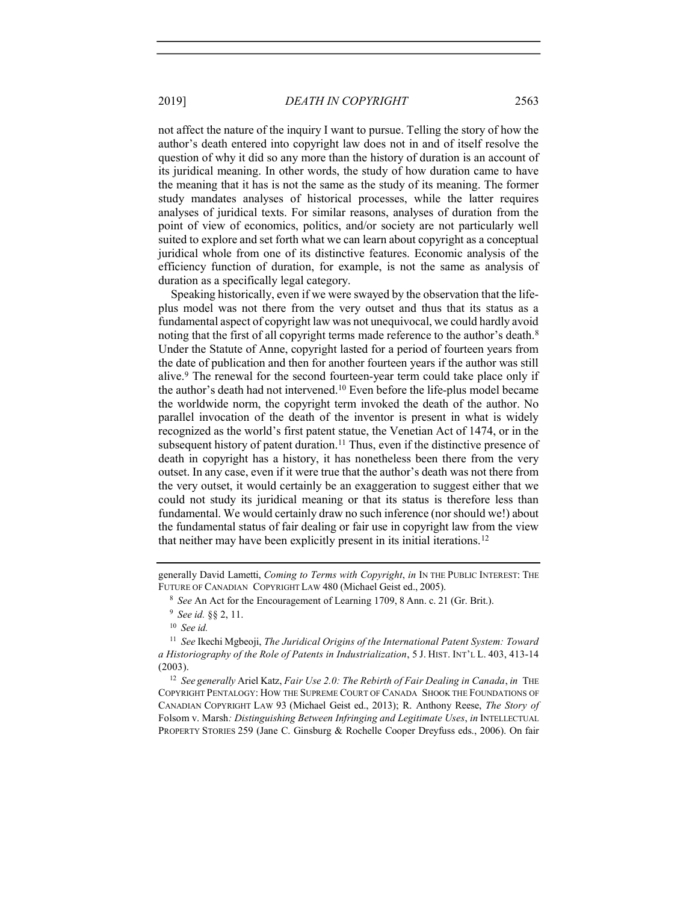not affect the nature of the inquiry I want to pursue. Telling the story of how the author's death entered into copyright law does not in and of itself resolve the question of why it did so any more than the history of duration is an account of its juridical meaning. In other words, the study of how duration came to have the meaning that it has is not the same as the study of its meaning. The former study mandates analyses of historical processes, while the latter requires analyses of juridical texts. For similar reasons, analyses of duration from the point of view of economics, politics, and/or society are not particularly well suited to explore and set forth what we can learn about copyright as a conceptual juridical whole from one of its distinctive features. Economic analysis of the efficiency function of duration, for example, is not the same as analysis of duration as a specifically legal category.

Speaking historically, even if we were swayed by the observation that the lifeplus model was not there from the very outset and thus that its status as a fundamental aspect of copyright law was not unequivocal, we could hardly avoid noting that the first of all copyright terms made reference to the author's death.<sup>8</sup> Under the Statute of Anne, copyright lasted for a period of fourteen years from the date of publication and then for another fourteen years if the author was still alive.<sup>9</sup> The renewal for the second fourteen-year term could take place only if the author's death had not intervened.<sup>10</sup> Even before the life-plus model became the worldwide norm, the copyright term invoked the death of the author. No parallel invocation of the death of the inventor is present in what is widely recognized as the world's first patent statue, the Venetian Act of 1474, or in the subsequent history of patent duration.<sup>11</sup> Thus, even if the distinctive presence of death in copyright has a history, it has nonetheless been there from the very outset. In any case, even if it were true that the author's death was not there from the very outset, it would certainly be an exaggeration to suggest either that we could not study its juridical meaning or that its status is therefore less than fundamental. We would certainly draw no such inference (nor should we!) about the fundamental status of fair dealing or fair use in copyright law from the view that neither may have been explicitly present in its initial iterations.<sup>12</sup>

 $12$  See generally Ariel Katz, Fair Use 2.0: The Rebirth of Fair Dealing in Canada, in THE COPYRIGHT PENTALOGY: HOW THE SUPREME COURT OF CANADA SHOOK THE FOUNDATIONS OF CANADIAN COPYRIGHT LAW 93 (Michael Geist ed., 2013); R. Anthony Reese, The Story of Folsom v. Marsh: Distinguishing Between Infringing and Legitimate Uses, in INTELLECTUAL PROPERTY STORIES 259 (Jane C. Ginsburg & Rochelle Cooper Dreyfuss eds., 2006). On fair

generally David Lametti, Coming to Terms with Copyright, in IN THE PUBLIC INTEREST: THE FUTURE OF CANADIAN COPYRIGHT LAW 480 (Michael Geist ed., 2005).

<sup>&</sup>lt;sup>8</sup> See An Act for the Encouragement of Learning 1709, 8 Ann. c. 21 (Gr. Brit.).

<sup>9</sup> See id. §§ 2, 11.

 $10$  See id.

 $11$  See Ikechi Mgbeoji, The Juridical Origins of the International Patent System: Toward a Historiography of the Role of Patents in Industrialization, 5 J. HIST. INT'L L. 403, 413-14 (2003).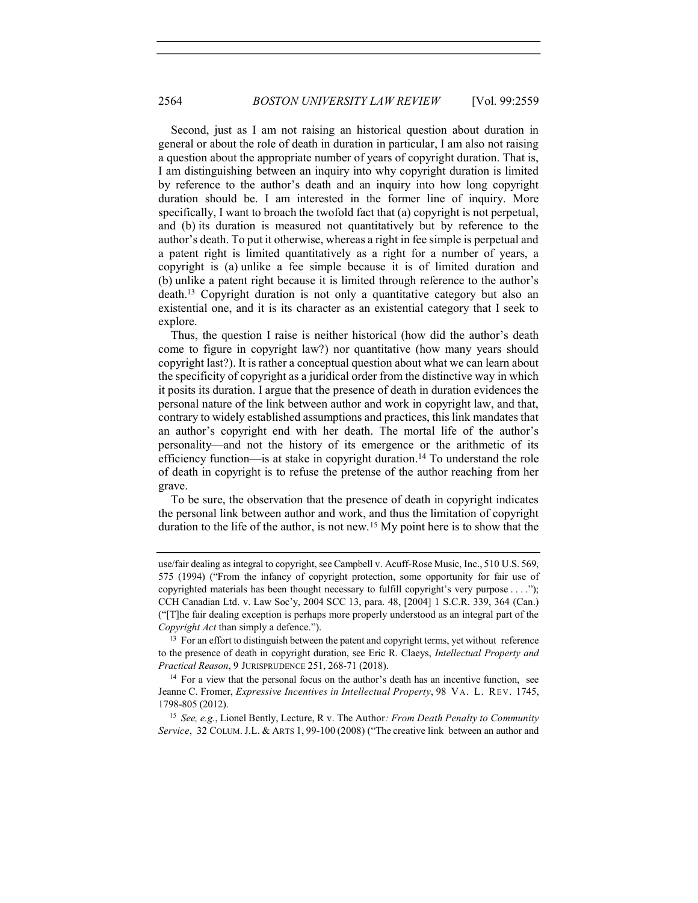Second, just as I am not raising an historical question about duration in general or about the role of death in duration in particular, I am also not raising a question about the appropriate number of years of copyright duration. That is, I am distinguishing between an inquiry into why copyright duration is limited by reference to the author's death and an inquiry into how long copyright duration should be. I am interested in the former line of inquiry. More specifically, I want to broach the twofold fact that (a) copyright is not perpetual, and (b) its duration is measured not quantitatively but by reference to the author's death. To put it otherwise, whereas a right in fee simple is perpetual and a patent right is limited quantitatively as a right for a number of years, a copyright is (a) unlike a fee simple because it is of limited duration and (b) unlike a patent right because it is limited through reference to the author's death.<sup>13</sup> Copyright duration is not only a quantitative category but also an existential one, and it is its character as an existential category that I seek to explore.

Thus, the question I raise is neither historical (how did the author's death come to figure in copyright law?) nor quantitative (how many years should copyright last?). It is rather a conceptual question about what we can learn about the specificity of copyright as a juridical order from the distinctive way in which it posits its duration. I argue that the presence of death in duration evidences the personal nature of the link between author and work in copyright law, and that, contrary to widely established assumptions and practices, this link mandates that an author's copyright end with her death. The mortal life of the author's personality—and not the history of its emergence or the arithmetic of its efficiency function—is at stake in copyright duration.<sup>14</sup> To understand the role of death in copyright is to refuse the pretense of the author reaching from her grave.

To be sure, the observation that the presence of death in copyright indicates the personal link between author and work, and thus the limitation of copyright duration to the life of the author, is not new.<sup>15</sup> My point here is to show that the

<sup>15</sup> See, e.g., Lionel Bently, Lecture, R v. The Author: *From Death Penalty to Community* Service, 32 COLUM.J.L. & ARTS 1, 99-100 (2008) ("The creative link between an author and

use/fair dealing as integral to copyright, see Campbell v. Acuff-Rose Music, Inc., 510 U.S. 569, 575 (1994) ("From the infancy of copyright protection, some opportunity for fair use of copyrighted materials has been thought necessary to fulfill copyright's very purpose . . . ."); CCH Canadian Ltd. v. Law Soc'y, 2004 SCC 13, para. 48, [2004] 1 S.C.R. 339, 364 (Can.) ("[T]he fair dealing exception is perhaps more properly understood as an integral part of the Copyright Act than simply a defence.").

<sup>&</sup>lt;sup>13</sup> For an effort to distinguish between the patent and copyright terms, yet without reference to the presence of death in copyright duration, see Eric R. Claeys, Intellectual Property and Practical Reason, 9 JURISPRUDENCE 251, 268-71 (2018).

<sup>&</sup>lt;sup>14</sup> For a view that the personal focus on the author's death has an incentive function, see Jeanne C. Fromer, *Expressive Incentives in Intellectual Property*, 98 VA. L. REV. 1745, 1798-805 (2012).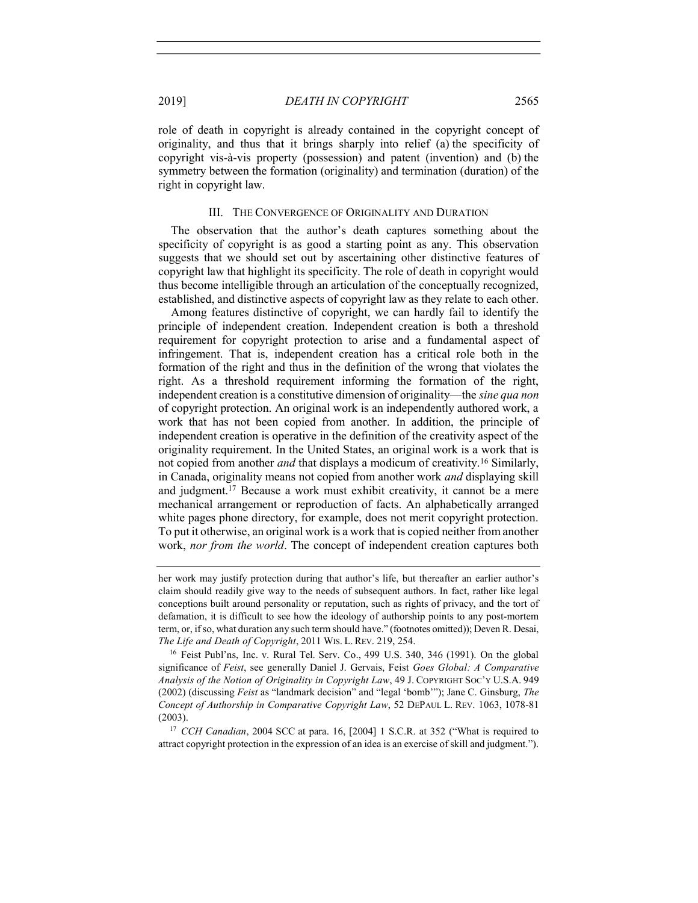role of death in copyright is already contained in the copyright concept of originality, and thus that it brings sharply into relief (a) the specificity of copyright vis-à-vis property (possession) and patent (invention) and (b) the symmetry between the formation (originality) and termination (duration) of the right in copyright law.

### III. THE CONVERGENCE OF ORIGINALITY AND DURATION

The observation that the author's death captures something about the specificity of copyright is as good a starting point as any. This observation suggests that we should set out by ascertaining other distinctive features of copyright law that highlight its specificity. The role of death in copyright would thus become intelligible through an articulation of the conceptually recognized, established, and distinctive aspects of copyright law as they relate to each other.

Among features distinctive of copyright, we can hardly fail to identify the principle of independent creation. Independent creation is both a threshold requirement for copyright protection to arise and a fundamental aspect of infringement. That is, independent creation has a critical role both in the formation of the right and thus in the definition of the wrong that violates the right. As a threshold requirement informing the formation of the right, independent creation is a constitutive dimension of originality—the *sine qua non* of copyright protection. An original work is an independently authored work, a work that has not been copied from another. In addition, the principle of independent creation is operative in the definition of the creativity aspect of the originality requirement. In the United States, an original work is a work that is not copied from another *and* that displays a modicum of creativity.<sup>16</sup> Similarly, in Canada, originality means not copied from another work and displaying skill and judgment.<sup>17</sup> Because a work must exhibit creativity, it cannot be a mere mechanical arrangement or reproduction of facts. An alphabetically arranged white pages phone directory, for example, does not merit copyright protection. To put it otherwise, an original work is a work that is copied neither from another work, nor from the world. The concept of independent creation captures both

her work may justify protection during that author's life, but thereafter an earlier author's claim should readily give way to the needs of subsequent authors. In fact, rather like legal conceptions built around personality or reputation, such as rights of privacy, and the tort of defamation, it is difficult to see how the ideology of authorship points to any post-mortem term, or, if so, what duration any such term should have." (footnotes omitted)); Deven R. Desai, The Life and Death of Copyright, 2011 WIS. L. REV. 219, 254.

<sup>&</sup>lt;sup>16</sup> Feist Publ'ns, Inc. v. Rural Tel. Serv. Co., 499 U.S. 340, 346 (1991). On the global significance of Feist, see generally Daniel J. Gervais, Feist Goes Global: A Comparative Analysis of the Notion of Originality in Copyright Law, 49 J. COPYRIGHT SOC'Y U.S.A. 949 (2002) (discussing Feist as "landmark decision" and "legal 'bomb'"); Jane C. Ginsburg, The Concept of Authorship in Comparative Copyright Law, 52 DEPAUL L. REV. 1063, 1078-81 (2003).

<sup>&</sup>lt;sup>17</sup> CCH Canadian, 2004 SCC at para. 16, [2004] 1 S.C.R. at 352 ("What is required to attract copyright protection in the expression of an idea is an exercise of skill and judgment.").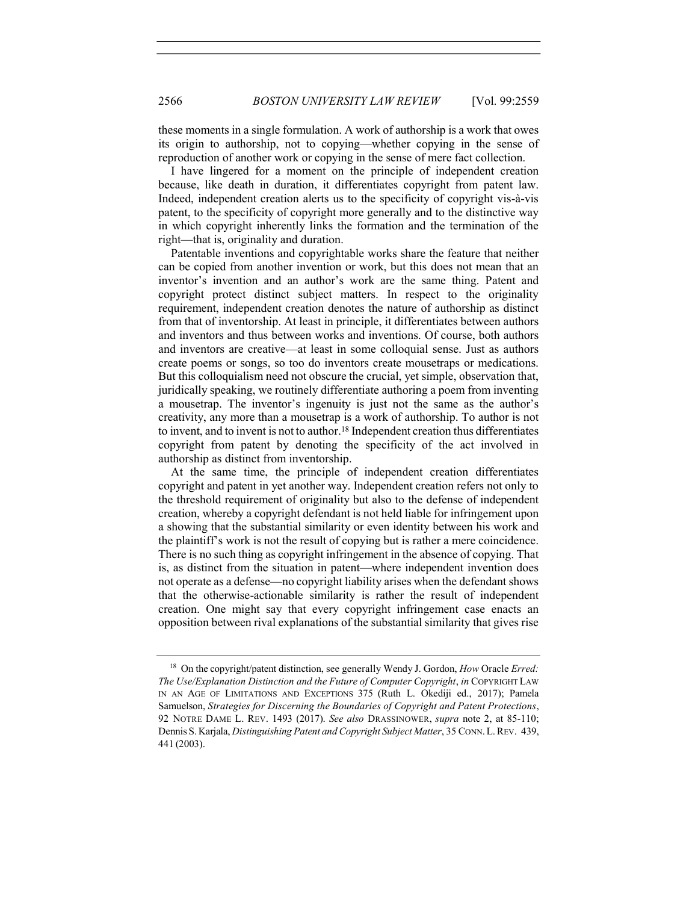these moments in a single formulation. A work of authorship is a work that owes its origin to authorship, not to copying—whether copying in the sense of reproduction of another work or copying in the sense of mere fact collection.

I have lingered for a moment on the principle of independent creation because, like death in duration, it differentiates copyright from patent law. Indeed, independent creation alerts us to the specificity of copyright vis-à-vis patent, to the specificity of copyright more generally and to the distinctive way in which copyright inherently links the formation and the termination of the right—that is, originality and duration.

Patentable inventions and copyrightable works share the feature that neither can be copied from another invention or work, but this does not mean that an inventor's invention and an author's work are the same thing. Patent and copyright protect distinct subject matters. In respect to the originality requirement, independent creation denotes the nature of authorship as distinct from that of inventorship. At least in principle, it differentiates between authors and inventors and thus between works and inventions. Of course, both authors and inventors are creative—at least in some colloquial sense. Just as authors create poems or songs, so too do inventors create mousetraps or medications. But this colloquialism need not obscure the crucial, yet simple, observation that, juridically speaking, we routinely differentiate authoring a poem from inventing a mousetrap. The inventor's ingenuity is just not the same as the author's creativity, any more than a mousetrap is a work of authorship. To author is not to invent, and to invent is not to author.<sup>18</sup> Independent creation thus differentiates copyright from patent by denoting the specificity of the act involved in authorship as distinct from inventorship.

At the same time, the principle of independent creation differentiates copyright and patent in yet another way. Independent creation refers not only to the threshold requirement of originality but also to the defense of independent creation, whereby a copyright defendant is not held liable for infringement upon a showing that the substantial similarity or even identity between his work and the plaintiff's work is not the result of copying but is rather a mere coincidence. There is no such thing as copyright infringement in the absence of copying. That is, as distinct from the situation in patent—where independent invention does not operate as a defense—no copyright liability arises when the defendant shows that the otherwise-actionable similarity is rather the result of independent creation. One might say that every copyright infringement case enacts an opposition between rival explanations of the substantial similarity that gives rise

<sup>&</sup>lt;sup>18</sup> On the copyright/patent distinction, see generally Wendy J. Gordon, How Oracle Erred: The Use/Explanation Distinction and the Future of Computer Copyright, in COPYRIGHT LAW IN AN AGE OF LIMITATIONS AND EXCEPTIONS 375 (Ruth L. Okediji ed., 2017); Pamela Samuelson, Strategies for Discerning the Boundaries of Copyright and Patent Protections, 92 NOTRE DAME L. REV. 1493 (2017). See also DRASSINOWER, supra note 2, at 85-110; Dennis S. Karjala, Distinguishing Patent and Copyright Subject Matter, 35 CONN.L.REV. 439, 441 (2003).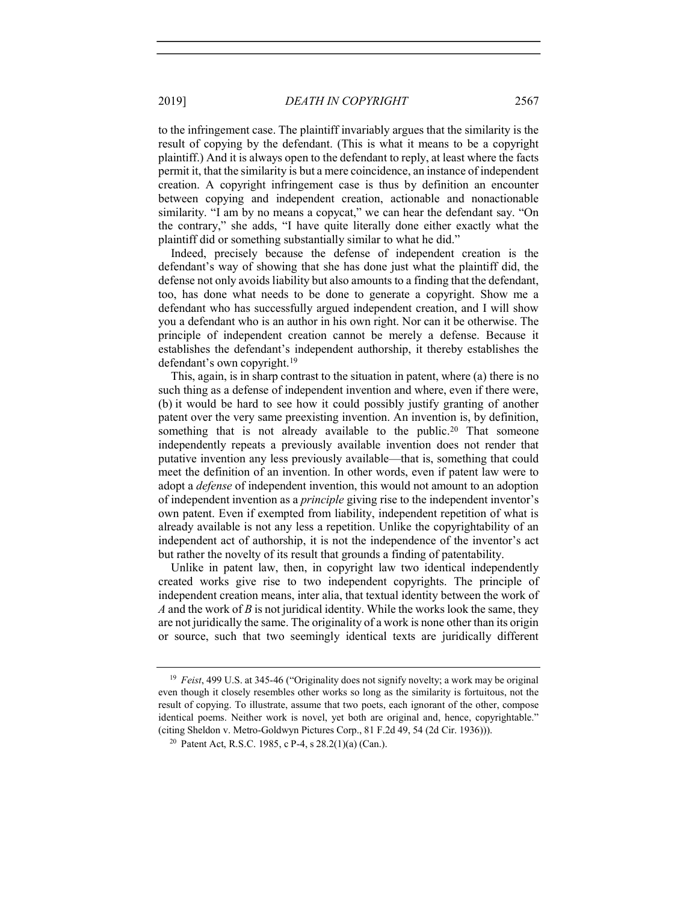to the infringement case. The plaintiff invariably argues that the similarity is the result of copying by the defendant. (This is what it means to be a copyright plaintiff.) And it is always open to the defendant to reply, at least where the facts permit it, that the similarity is but a mere coincidence, an instance of independent creation. A copyright infringement case is thus by definition an encounter between copying and independent creation, actionable and nonactionable similarity. "I am by no means a copycat," we can hear the defendant say. "On the contrary," she adds, "I have quite literally done either exactly what the plaintiff did or something substantially similar to what he did."

Indeed, precisely because the defense of independent creation is the defendant's way of showing that she has done just what the plaintiff did, the defense not only avoids liability but also amounts to a finding that the defendant, too, has done what needs to be done to generate a copyright. Show me a defendant who has successfully argued independent creation, and I will show you a defendant who is an author in his own right. Nor can it be otherwise. The principle of independent creation cannot be merely a defense. Because it establishes the defendant's independent authorship, it thereby establishes the defendant's own copyright.<sup>19</sup>

This, again, is in sharp contrast to the situation in patent, where (a) there is no such thing as a defense of independent invention and where, even if there were, (b) it would be hard to see how it could possibly justify granting of another patent over the very same preexisting invention. An invention is, by definition, something that is not already available to the public.<sup>20</sup> That someone independently repeats a previously available invention does not render that putative invention any less previously available—that is, something that could meet the definition of an invention. In other words, even if patent law were to adopt a defense of independent invention, this would not amount to an adoption of independent invention as a principle giving rise to the independent inventor's own patent. Even if exempted from liability, independent repetition of what is already available is not any less a repetition. Unlike the copyrightability of an independent act of authorship, it is not the independence of the inventor's act but rather the novelty of its result that grounds a finding of patentability.

Unlike in patent law, then, in copyright law two identical independently created works give rise to two independent copyrights. The principle of independent creation means, inter alia, that textual identity between the work of A and the work of B is not juridical identity. While the works look the same, they are not juridically the same. The originality of a work is none other than its origin or source, such that two seemingly identical texts are juridically different

<sup>&</sup>lt;sup>19</sup> Feist, 499 U.S. at 345-46 ("Originality does not signify novelty; a work may be original even though it closely resembles other works so long as the similarity is fortuitous, not the result of copying. To illustrate, assume that two poets, each ignorant of the other, compose identical poems. Neither work is novel, yet both are original and, hence, copyrightable." (citing Sheldon v. Metro-Goldwyn Pictures Corp., 81 F.2d 49, 54 (2d Cir. 1936))).

<sup>&</sup>lt;sup>20</sup> Patent Act, R.S.C. 1985, c P-4, s  $28.2(1)(a)$  (Can.).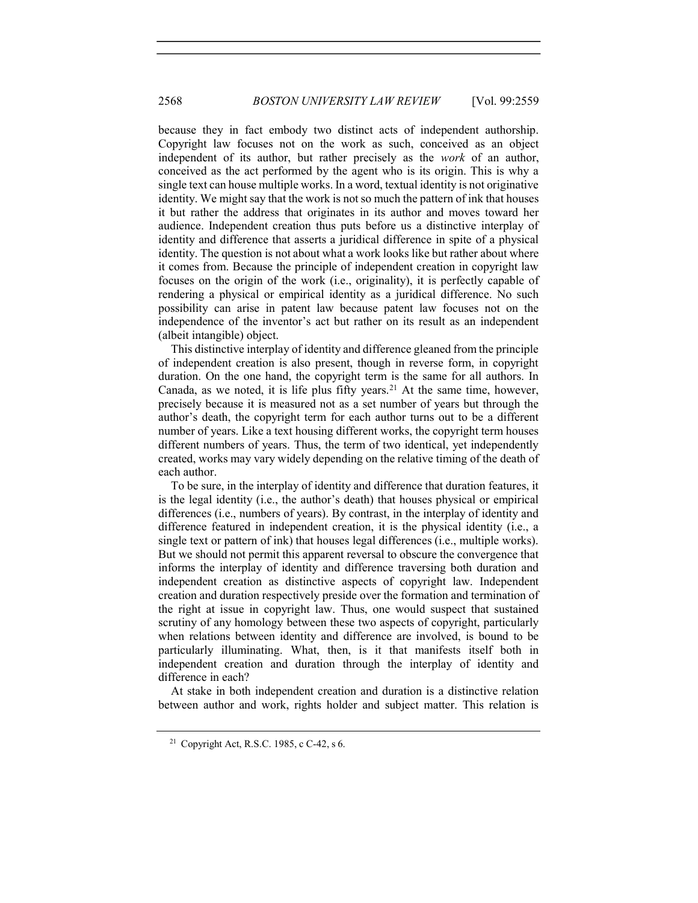because they in fact embody two distinct acts of independent authorship. Copyright law focuses not on the work as such, conceived as an object independent of its author, but rather precisely as the work of an author, conceived as the act performed by the agent who is its origin. This is why a single text can house multiple works. In a word, textual identity is not originative identity. We might say that the work is not so much the pattern of ink that houses it but rather the address that originates in its author and moves toward her audience. Independent creation thus puts before us a distinctive interplay of identity and difference that asserts a juridical difference in spite of a physical identity. The question is not about what a work looks like but rather about where it comes from. Because the principle of independent creation in copyright law focuses on the origin of the work (i.e., originality), it is perfectly capable of rendering a physical or empirical identity as a juridical difference. No such possibility can arise in patent law because patent law focuses not on the independence of the inventor's act but rather on its result as an independent (albeit intangible) object.

This distinctive interplay of identity and difference gleaned from the principle of independent creation is also present, though in reverse form, in copyright duration. On the one hand, the copyright term is the same for all authors. In Canada, as we noted, it is life plus fifty years.<sup>21</sup> At the same time, however, precisely because it is measured not as a set number of years but through the author's death, the copyright term for each author turns out to be a different number of years. Like a text housing different works, the copyright term houses different numbers of years. Thus, the term of two identical, yet independently created, works may vary widely depending on the relative timing of the death of each author.

To be sure, in the interplay of identity and difference that duration features, it is the legal identity (i.e., the author's death) that houses physical or empirical differences (i.e., numbers of years). By contrast, in the interplay of identity and difference featured in independent creation, it is the physical identity (i.e., a single text or pattern of ink) that houses legal differences (i.e., multiple works). But we should not permit this apparent reversal to obscure the convergence that informs the interplay of identity and difference traversing both duration and independent creation as distinctive aspects of copyright law. Independent creation and duration respectively preside over the formation and termination of the right at issue in copyright law. Thus, one would suspect that sustained scrutiny of any homology between these two aspects of copyright, particularly when relations between identity and difference are involved, is bound to be particularly illuminating. What, then, is it that manifests itself both in independent creation and duration through the interplay of identity and difference in each?

At stake in both independent creation and duration is a distinctive relation between author and work, rights holder and subject matter. This relation is

<sup>&</sup>lt;sup>21</sup> Copyright Act, R.S.C. 1985, c C-42, s 6.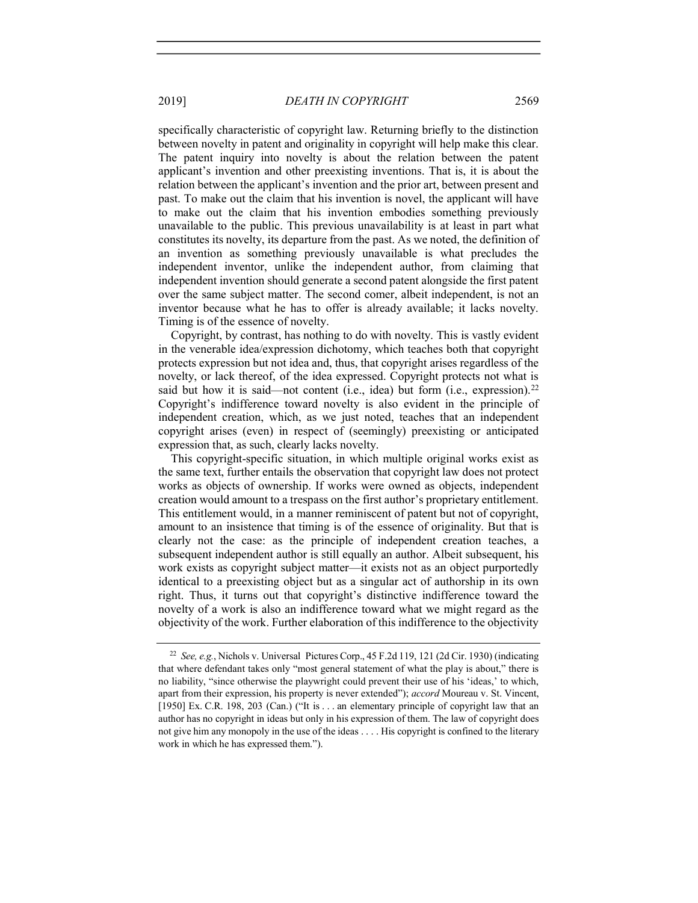specifically characteristic of copyright law. Returning briefly to the distinction between novelty in patent and originality in copyright will help make this clear. The patent inquiry into novelty is about the relation between the patent

applicant's invention and other preexisting inventions. That is, it is about the relation between the applicant's invention and the prior art, between present and past. To make out the claim that his invention is novel, the applicant will have to make out the claim that his invention embodies something previously unavailable to the public. This previous unavailability is at least in part what constitutes its novelty, its departure from the past. As we noted, the definition of an invention as something previously unavailable is what precludes the independent inventor, unlike the independent author, from claiming that independent invention should generate a second patent alongside the first patent over the same subject matter. The second comer, albeit independent, is not an inventor because what he has to offer is already available; it lacks novelty. Timing is of the essence of novelty.

Copyright, by contrast, has nothing to do with novelty. This is vastly evident in the venerable idea/expression dichotomy, which teaches both that copyright protects expression but not idea and, thus, that copyright arises regardless of the novelty, or lack thereof, of the idea expressed. Copyright protects not what is said but how it is said—not content (i.e., idea) but form (i.e., expression).<sup>22</sup> Copyright's indifference toward novelty is also evident in the principle of independent creation, which, as we just noted, teaches that an independent copyright arises (even) in respect of (seemingly) preexisting or anticipated expression that, as such, clearly lacks novelty.

This copyright-specific situation, in which multiple original works exist as the same text, further entails the observation that copyright law does not protect works as objects of ownership. If works were owned as objects, independent creation would amount to a trespass on the first author's proprietary entitlement. This entitlement would, in a manner reminiscent of patent but not of copyright, amount to an insistence that timing is of the essence of originality. But that is clearly not the case: as the principle of independent creation teaches, a subsequent independent author is still equally an author. Albeit subsequent, his work exists as copyright subject matter—it exists not as an object purportedly identical to a preexisting object but as a singular act of authorship in its own right. Thus, it turns out that copyright's distinctive indifference toward the novelty of a work is also an indifference toward what we might regard as the objectivity of the work. Further elaboration of this indifference to the objectivity

<sup>&</sup>lt;sup>22</sup> See, e.g., Nichols v. Universal Pictures Corp., 45 F.2d 119, 121 (2d Cir. 1930) (indicating that where defendant takes only "most general statement of what the play is about," there is no liability, "since otherwise the playwright could prevent their use of his 'ideas,' to which, apart from their expression, his property is never extended"); accord Moureau v. St. Vincent, [1950] Ex. C.R. 198, 203 (Can.) ("It is . . . an elementary principle of copyright law that an author has no copyright in ideas but only in his expression of them. The law of copyright does not give him any monopoly in the use of the ideas . . . . His copyright is confined to the literary work in which he has expressed them.").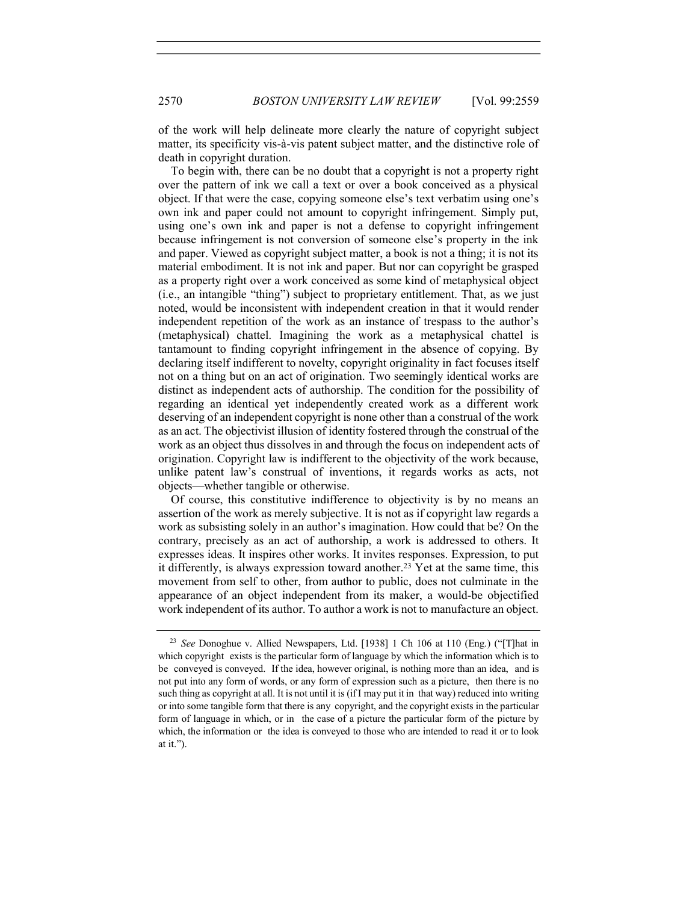of the work will help delineate more clearly the nature of copyright subject matter, its specificity vis-à-vis patent subject matter, and the distinctive role of death in copyright duration.

To begin with, there can be no doubt that a copyright is not a property right over the pattern of ink we call a text or over a book conceived as a physical object. If that were the case, copying someone else's text verbatim using one's own ink and paper could not amount to copyright infringement. Simply put, using one's own ink and paper is not a defense to copyright infringement because infringement is not conversion of someone else's property in the ink and paper. Viewed as copyright subject matter, a book is not a thing; it is not its material embodiment. It is not ink and paper. But nor can copyright be grasped as a property right over a work conceived as some kind of metaphysical object (i.e., an intangible "thing") subject to proprietary entitlement. That, as we just noted, would be inconsistent with independent creation in that it would render independent repetition of the work as an instance of trespass to the author's (metaphysical) chattel. Imagining the work as a metaphysical chattel is tantamount to finding copyright infringement in the absence of copying. By declaring itself indifferent to novelty, copyright originality in fact focuses itself not on a thing but on an act of origination. Two seemingly identical works are distinct as independent acts of authorship. The condition for the possibility of regarding an identical yet independently created work as a different work deserving of an independent copyright is none other than a construal of the work as an act. The objectivist illusion of identity fostered through the construal of the work as an object thus dissolves in and through the focus on independent acts of origination. Copyright law is indifferent to the objectivity of the work because, unlike patent law's construal of inventions, it regards works as acts, not objects—whether tangible or otherwise.

Of course, this constitutive indifference to objectivity is by no means an assertion of the work as merely subjective. It is not as if copyright law regards a work as subsisting solely in an author's imagination. How could that be? On the contrary, precisely as an act of authorship, a work is addressed to others. It expresses ideas. It inspires other works. It invites responses. Expression, to put it differently, is always expression toward another.<sup>23</sup> Yet at the same time, this movement from self to other, from author to public, does not culminate in the appearance of an object independent from its maker, a would-be objectified work independent of its author. To author a work is not to manufacture an object.

<sup>&</sup>lt;sup>23</sup> See Donoghue v. Allied Newspapers, Ltd. [1938] 1 Ch 106 at 110 (Eng.) ("[T]hat in which copyright exists is the particular form of language by which the information which is to be conveyed is conveyed. If the idea, however original, is nothing more than an idea, and is not put into any form of words, or any form of expression such as a picture, then there is no such thing as copyright at all. It is not until it is (if I may put it in that way) reduced into writing or into some tangible form that there is any copyright, and the copyright exists in the particular form of language in which, or in the case of a picture the particular form of the picture by which, the information or the idea is conveyed to those who are intended to read it or to look at it.").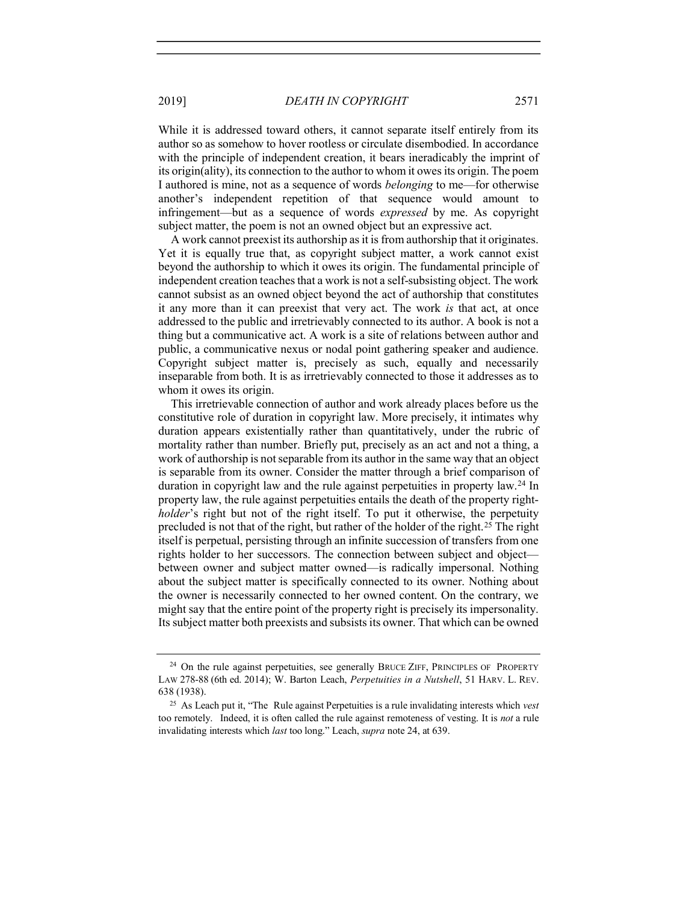While it is addressed toward others, it cannot separate itself entirely from its author so as somehow to hover rootless or circulate disembodied. In accordance with the principle of independent creation, it bears ineradicably the imprint of its origin(ality), its connection to the author to whom it owes its origin. The poem I authored is mine, not as a sequence of words belonging to me—for otherwise another's independent repetition of that sequence would amount to infringement—but as a sequence of words expressed by me. As copyright subject matter, the poem is not an owned object but an expressive act.

A work cannot preexist its authorship as it is from authorship that it originates. Yet it is equally true that, as copyright subject matter, a work cannot exist beyond the authorship to which it owes its origin. The fundamental principle of independent creation teaches that a work is not a self-subsisting object. The work cannot subsist as an owned object beyond the act of authorship that constitutes it any more than it can preexist that very act. The work is that act, at once addressed to the public and irretrievably connected to its author. A book is not a thing but a communicative act. A work is a site of relations between author and public, a communicative nexus or nodal point gathering speaker and audience. Copyright subject matter is, precisely as such, equally and necessarily inseparable from both. It is as irretrievably connected to those it addresses as to whom it owes its origin.

This irretrievable connection of author and work already places before us the constitutive role of duration in copyright law. More precisely, it intimates why duration appears existentially rather than quantitatively, under the rubric of mortality rather than number. Briefly put, precisely as an act and not a thing, a work of authorship is not separable from its author in the same way that an object is separable from its owner. Consider the matter through a brief comparison of duration in copyright law and the rule against perpetuities in property law.<sup>24</sup> In property law, the rule against perpetuities entails the death of the property rightholder's right but not of the right itself. To put it otherwise, the perpetuity precluded is not that of the right, but rather of the holder of the right.<sup>25</sup> The right itself is perpetual, persisting through an infinite succession of transfers from one rights holder to her successors. The connection between subject and object between owner and subject matter owned—is radically impersonal. Nothing about the subject matter is specifically connected to its owner. Nothing about the owner is necessarily connected to her owned content. On the contrary, we might say that the entire point of the property right is precisely its impersonality. Its subject matter both preexists and subsists its owner. That which can be owned

<sup>&</sup>lt;sup>24</sup> On the rule against perpetuities, see generally BRUCE ZIFF, PRINCIPLES OF PROPERTY LAW 278-88 (6th ed. 2014); W. Barton Leach, Perpetuities in a Nutshell, 51 HARV. L. REV. 638 (1938).

<sup>&</sup>lt;sup>25</sup> As Leach put it, "The Rule against Perpetuities is a rule invalidating interests which *vest* too remotely. Indeed, it is often called the rule against remoteness of vesting. It is *not* a rule invalidating interests which last too long." Leach, supra note 24, at 639.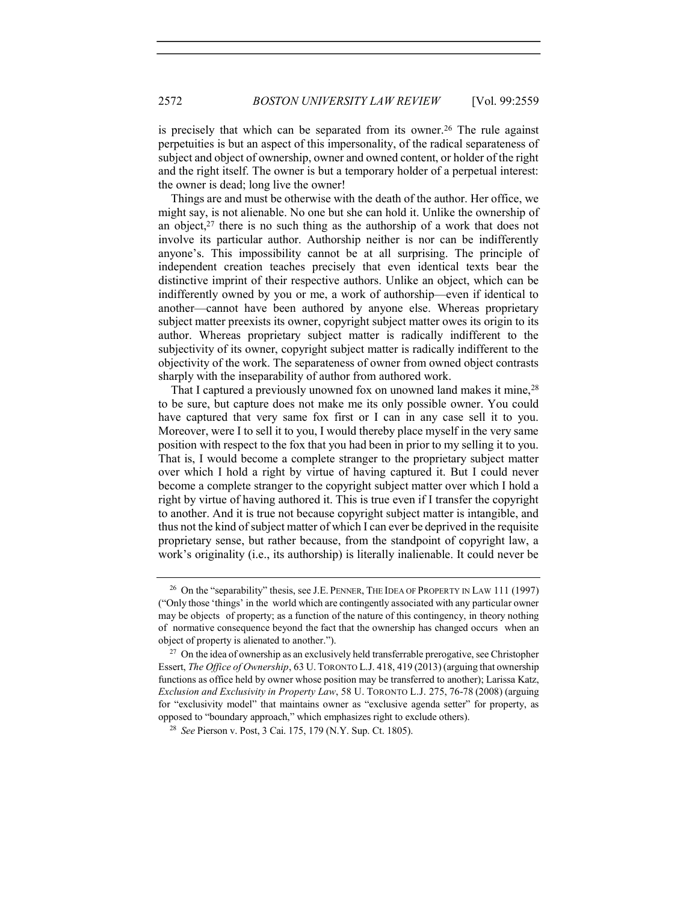is precisely that which can be separated from its owner.<sup>26</sup> The rule against perpetuities is but an aspect of this impersonality, of the radical separateness of subject and object of ownership, owner and owned content, or holder of the right and the right itself. The owner is but a temporary holder of a perpetual interest: the owner is dead; long live the owner!

Things are and must be otherwise with the death of the author. Her office, we might say, is not alienable. No one but she can hold it. Unlike the ownership of an object, $27$  there is no such thing as the authorship of a work that does not involve its particular author. Authorship neither is nor can be indifferently anyone's. This impossibility cannot be at all surprising. The principle of independent creation teaches precisely that even identical texts bear the distinctive imprint of their respective authors. Unlike an object, which can be indifferently owned by you or me, a work of authorship—even if identical to another—cannot have been authored by anyone else. Whereas proprietary subject matter preexists its owner, copyright subject matter owes its origin to its author. Whereas proprietary subject matter is radically indifferent to the subjectivity of its owner, copyright subject matter is radically indifferent to the objectivity of the work. The separateness of owner from owned object contrasts sharply with the inseparability of author from authored work.

That I captured a previously unowned fox on unowned land makes it mine,<sup>28</sup> to be sure, but capture does not make me its only possible owner. You could have captured that very same fox first or I can in any case sell it to you. Moreover, were I to sell it to you, I would thereby place myself in the very same position with respect to the fox that you had been in prior to my selling it to you. That is, I would become a complete stranger to the proprietary subject matter over which I hold a right by virtue of having captured it. But I could never become a complete stranger to the copyright subject matter over which I hold a right by virtue of having authored it. This is true even if I transfer the copyright to another. And it is true not because copyright subject matter is intangible, and thus not the kind of subject matter of which I can ever be deprived in the requisite proprietary sense, but rather because, from the standpoint of copyright law, a work's originality (i.e., its authorship) is literally inalienable. It could never be

<sup>&</sup>lt;sup>26</sup> On the "separability" thesis, see J.E. PENNER, THE IDEA OF PROPERTY IN LAW 111 (1997) ("Only those 'things' in the world which are contingently associated with any particular owner may be objects of property; as a function of the nature of this contingency, in theory nothing of normative consequence beyond the fact that the ownership has changed occurs when an object of property is alienated to another.").

 $27$  On the idea of ownership as an exclusively held transferrable prerogative, see Christopher Essert, The Office of Ownership, 63 U. TORONTO L.J. 418, 419 (2013) (arguing that ownership functions as office held by owner whose position may be transferred to another); Larissa Katz, Exclusion and Exclusivity in Property Law, 58 U. TORONTO L.J. 275, 76-78 (2008) (arguing for "exclusivity model" that maintains owner as "exclusive agenda setter" for property, as opposed to "boundary approach," which emphasizes right to exclude others).

<sup>28</sup> See Pierson v. Post, 3 Cai. 175, 179 (N.Y. Sup. Ct. 1805).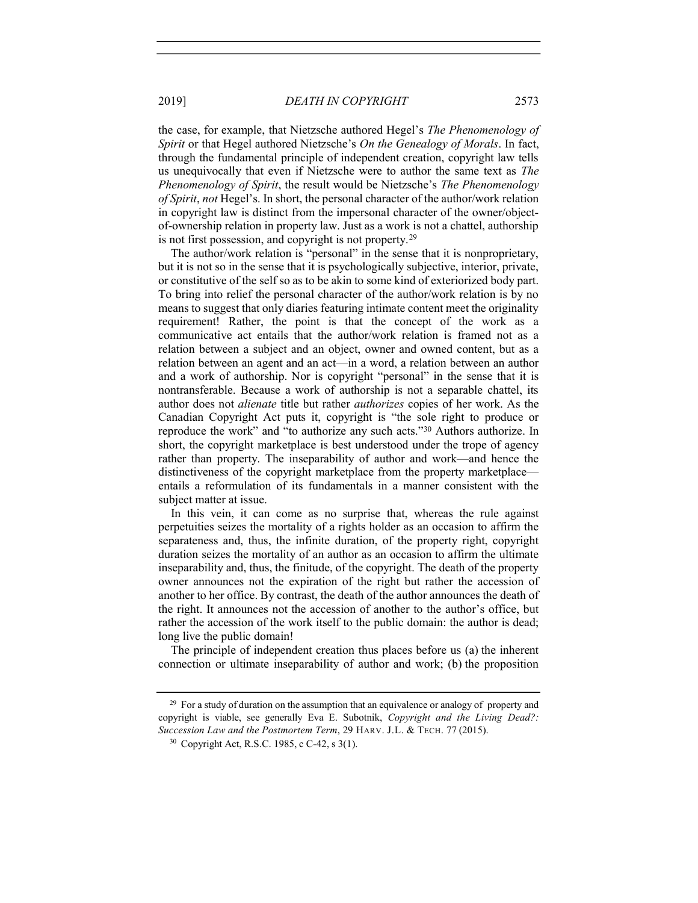the case, for example, that Nietzsche authored Hegel's The Phenomenology of Spirit or that Hegel authored Nietzsche's On the Genealogy of Morals. In fact, through the fundamental principle of independent creation, copyright law tells us unequivocally that even if Nietzsche were to author the same text as The Phenomenology of Spirit, the result would be Nietzsche's The Phenomenology of Spirit, not Hegel's. In short, the personal character of the author/work relation in copyright law is distinct from the impersonal character of the owner/objectof-ownership relation in property law. Just as a work is not a chattel, authorship is not first possession, and copyright is not property.<sup>29</sup>

The author/work relation is "personal" in the sense that it is nonproprietary, but it is not so in the sense that it is psychologically subjective, interior, private, or constitutive of the self so as to be akin to some kind of exteriorized body part. To bring into relief the personal character of the author/work relation is by no means to suggest that only diaries featuring intimate content meet the originality requirement! Rather, the point is that the concept of the work as a communicative act entails that the author/work relation is framed not as a relation between a subject and an object, owner and owned content, but as a relation between an agent and an act—in a word, a relation between an author and a work of authorship. Nor is copyright "personal" in the sense that it is nontransferable. Because a work of authorship is not a separable chattel, its author does not alienate title but rather authorizes copies of her work. As the Canadian Copyright Act puts it, copyright is "the sole right to produce or reproduce the work" and "to authorize any such acts."<sup>30</sup> Authors authorize. In short, the copyright marketplace is best understood under the trope of agency rather than property. The inseparability of author and work—and hence the distinctiveness of the copyright marketplace from the property marketplace entails a reformulation of its fundamentals in a manner consistent with the subject matter at issue.

In this vein, it can come as no surprise that, whereas the rule against perpetuities seizes the mortality of a rights holder as an occasion to affirm the separateness and, thus, the infinite duration, of the property right, copyright duration seizes the mortality of an author as an occasion to affirm the ultimate inseparability and, thus, the finitude, of the copyright. The death of the property owner announces not the expiration of the right but rather the accession of another to her office. By contrast, the death of the author announces the death of the right. It announces not the accession of another to the author's office, but rather the accession of the work itself to the public domain: the author is dead; long live the public domain!

The principle of independent creation thus places before us (a) the inherent connection or ultimate inseparability of author and work; (b) the proposition

<sup>&</sup>lt;sup>29</sup> For a study of duration on the assumption that an equivalence or analogy of property and copyright is viable, see generally Eva E. Subotnik, Copyright and the Living Dead?: Succession Law and the Postmortem Term, 29 HARV. J.L. & TECH. 77 (2015).

<sup>30</sup> Copyright Act, R.S.C. 1985, c C-42, s 3(1).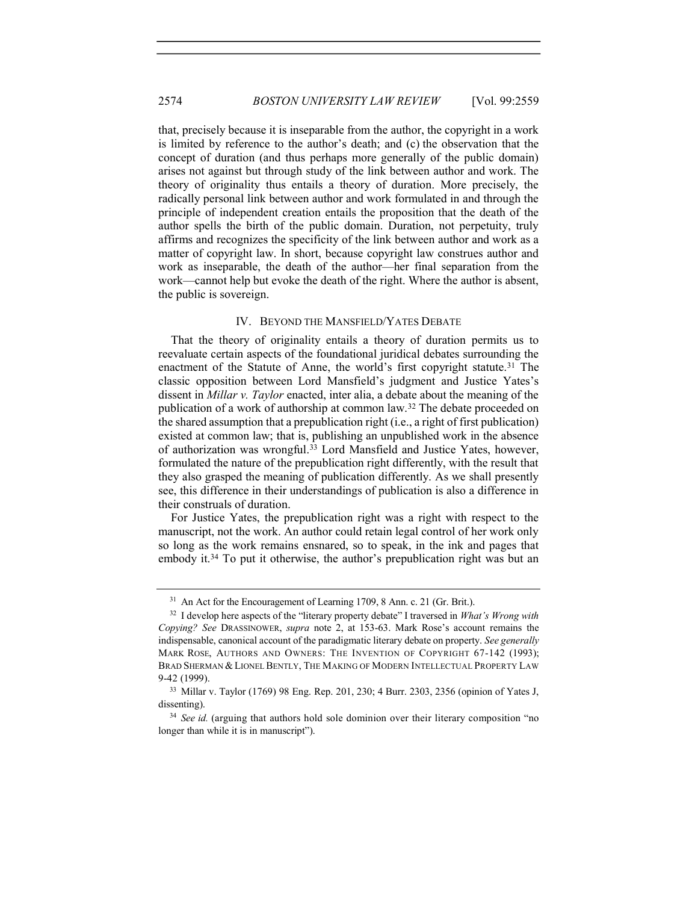that, precisely because it is inseparable from the author, the copyright in a work is limited by reference to the author's death; and (c) the observation that the concept of duration (and thus perhaps more generally of the public domain) arises not against but through study of the link between author and work. The theory of originality thus entails a theory of duration. More precisely, the radically personal link between author and work formulated in and through the principle of independent creation entails the proposition that the death of the author spells the birth of the public domain. Duration, not perpetuity, truly affirms and recognizes the specificity of the link between author and work as a matter of copyright law. In short, because copyright law construes author and work as inseparable, the death of the author—her final separation from the work—cannot help but evoke the death of the right. Where the author is absent, the public is sovereign.

#### IV. BEYOND THE MANSFIELD/YATES DEBATE

That the theory of originality entails a theory of duration permits us to reevaluate certain aspects of the foundational juridical debates surrounding the enactment of the Statute of Anne, the world's first copyright statute.<sup>31</sup> The classic opposition between Lord Mansfield's judgment and Justice Yates's dissent in Millar v. Taylor enacted, inter alia, a debate about the meaning of the publication of a work of authorship at common law.<sup>32</sup> The debate proceeded on the shared assumption that a prepublication right (i.e., a right of first publication) existed at common law; that is, publishing an unpublished work in the absence of authorization was wrongful.<sup>33</sup> Lord Mansfield and Justice Yates, however, formulated the nature of the prepublication right differently, with the result that they also grasped the meaning of publication differently. As we shall presently see, this difference in their understandings of publication is also a difference in their construals of duration.

For Justice Yates, the prepublication right was a right with respect to the manuscript, not the work. An author could retain legal control of her work only so long as the work remains ensnared, so to speak, in the ink and pages that embody it.<sup>34</sup> To put it otherwise, the author's prepublication right was but an

<sup>&</sup>lt;sup>31</sup> An Act for the Encouragement of Learning 1709, 8 Ann. c. 21 (Gr. Brit.).

 $32$  I develop here aspects of the "literary property debate" I traversed in *What's Wrong with* Copying? See DRASSINOWER, supra note 2, at 153-63. Mark Rose's account remains the indispensable, canonical account of the paradigmatic literary debate on property. See generally MARK ROSE, AUTHORS AND OWNERS: THE INVENTION OF COPYRIGHT 67-142 (1993); BRAD SHERMAN & LIONEL BENTLY, THE MAKING OF MODERN INTELLECTUAL PROPERTY LAW 9-42 (1999).

<sup>33</sup> Millar v. Taylor (1769) 98 Eng. Rep. 201, 230; 4 Burr. 2303, 2356 (opinion of Yates J, dissenting).

<sup>&</sup>lt;sup>34</sup> See id. (arguing that authors hold sole dominion over their literary composition "no longer than while it is in manuscript").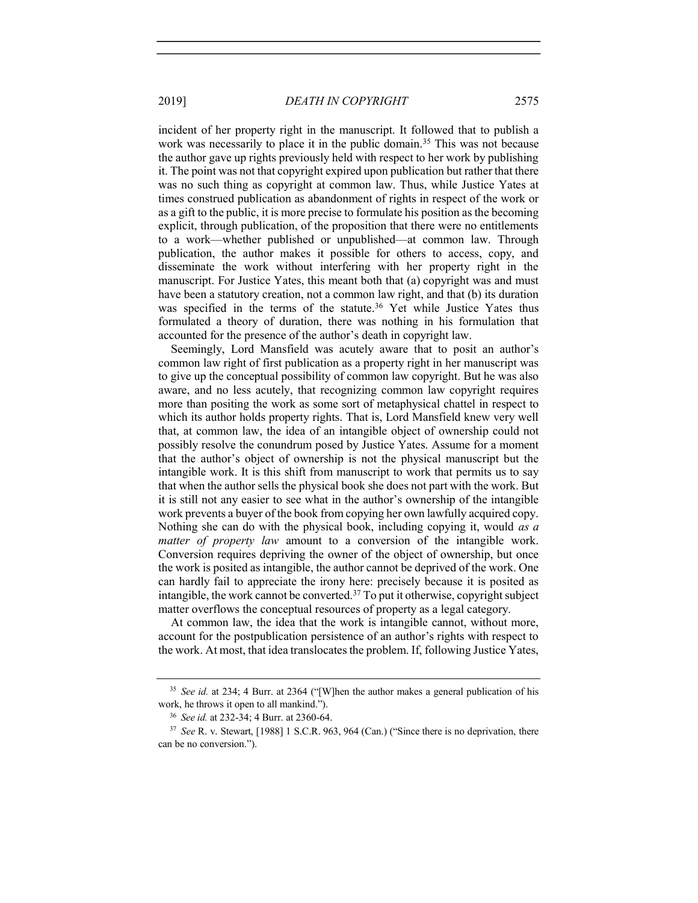incident of her property right in the manuscript. It followed that to publish a work was necessarily to place it in the public domain.<sup>35</sup> This was not because the author gave up rights previously held with respect to her work by publishing it. The point was not that copyright expired upon publication but rather that there was no such thing as copyright at common law. Thus, while Justice Yates at times construed publication as abandonment of rights in respect of the work or as a gift to the public, it is more precise to formulate his position as the becoming explicit, through publication, of the proposition that there were no entitlements to a work—whether published or unpublished—at common law. Through publication, the author makes it possible for others to access, copy, and disseminate the work without interfering with her property right in the manuscript. For Justice Yates, this meant both that (a) copyright was and must have been a statutory creation, not a common law right, and that (b) its duration was specified in the terms of the statute.<sup>36</sup> Yet while Justice Yates thus formulated a theory of duration, there was nothing in his formulation that accounted for the presence of the author's death in copyright law.

Seemingly, Lord Mansfield was acutely aware that to posit an author's common law right of first publication as a property right in her manuscript was to give up the conceptual possibility of common law copyright. But he was also aware, and no less acutely, that recognizing common law copyright requires more than positing the work as some sort of metaphysical chattel in respect to which its author holds property rights. That is, Lord Mansfield knew very well that, at common law, the idea of an intangible object of ownership could not possibly resolve the conundrum posed by Justice Yates. Assume for a moment that the author's object of ownership is not the physical manuscript but the intangible work. It is this shift from manuscript to work that permits us to say that when the author sells the physical book she does not part with the work. But it is still not any easier to see what in the author's ownership of the intangible work prevents a buyer of the book from copying her own lawfully acquired copy. Nothing she can do with the physical book, including copying it, would as a matter of property law amount to a conversion of the intangible work. Conversion requires depriving the owner of the object of ownership, but once the work is posited as intangible, the author cannot be deprived of the work. One can hardly fail to appreciate the irony here: precisely because it is posited as intangible, the work cannot be converted.<sup>37</sup> To put it otherwise, copyright subject matter overflows the conceptual resources of property as a legal category.

At common law, the idea that the work is intangible cannot, without more, account for the postpublication persistence of an author's rights with respect to the work. At most, that idea translocates the problem. If, following Justice Yates,

<sup>&</sup>lt;sup>35</sup> See id. at 234; 4 Burr. at 2364 ("[W]hen the author makes a general publication of his work, he throws it open to all mankind.").

<sup>36</sup> See id. at 232-34; 4 Burr. at 2360-64.

<sup>&</sup>lt;sup>37</sup> See R. v. Stewart, [1988] 1 S.C.R. 963, 964 (Can.) ("Since there is no deprivation, there can be no conversion.").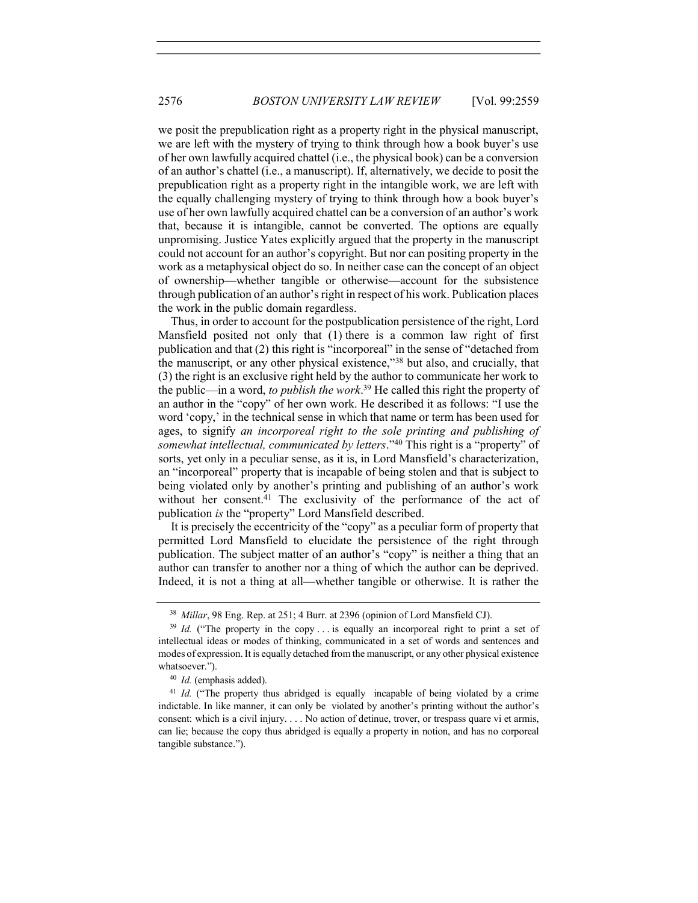we posit the prepublication right as a property right in the physical manuscript, we are left with the mystery of trying to think through how a book buyer's use of her own lawfully acquired chattel (i.e., the physical book) can be a conversion of an author's chattel (i.e., a manuscript). If, alternatively, we decide to posit the prepublication right as a property right in the intangible work, we are left with the equally challenging mystery of trying to think through how a book buyer's use of her own lawfully acquired chattel can be a conversion of an author's work that, because it is intangible, cannot be converted. The options are equally unpromising. Justice Yates explicitly argued that the property in the manuscript could not account for an author's copyright. But nor can positing property in the work as a metaphysical object do so. In neither case can the concept of an object of ownership—whether tangible or otherwise—account for the subsistence through publication of an author's right in respect of his work. Publication places the work in the public domain regardless.

Thus, in order to account for the postpublication persistence of the right, Lord Mansfield posited not only that (1) there is a common law right of first publication and that (2) this right is "incorporeal" in the sense of "detached from the manuscript, or any other physical existence,"<sup>38</sup> but also, and crucially, that (3) the right is an exclusive right held by the author to communicate her work to the public—in a word, to publish the work.<sup>39</sup> He called this right the property of an author in the "copy" of her own work. He described it as follows: "I use the word 'copy,' in the technical sense in which that name or term has been used for ages, to signify an incorporeal right to the sole printing and publishing of somewhat intellectual, communicated by letters."40 This right is a "property" of sorts, yet only in a peculiar sense, as it is, in Lord Mansfield's characterization, an "incorporeal" property that is incapable of being stolen and that is subject to being violated only by another's printing and publishing of an author's work without her consent.<sup>41</sup> The exclusivity of the performance of the act of publication is the "property" Lord Mansfield described.

It is precisely the eccentricity of the "copy" as a peculiar form of property that permitted Lord Mansfield to elucidate the persistence of the right through publication. The subject matter of an author's "copy" is neither a thing that an author can transfer to another nor a thing of which the author can be deprived. Indeed, it is not a thing at all—whether tangible or otherwise. It is rather the

<sup>&</sup>lt;sup>38</sup> Millar, 98 Eng. Rep. at 251; 4 Burr. at 2396 (opinion of Lord Mansfield CJ).

 $39$  Id. ("The property in the copy ... is equally an incorporeal right to print a set of intellectual ideas or modes of thinking, communicated in a set of words and sentences and modes of expression. It is equally detached from the manuscript, or any other physical existence whatsoever.").

 $40$  *Id.* (emphasis added).

<sup>&</sup>lt;sup>41</sup> Id. ("The property thus abridged is equally incapable of being violated by a crime indictable. In like manner, it can only be violated by another's printing without the author's consent: which is a civil injury. . . . No action of detinue, trover, or trespass quare vi et armis, can lie; because the copy thus abridged is equally a property in notion, and has no corporeal tangible substance.").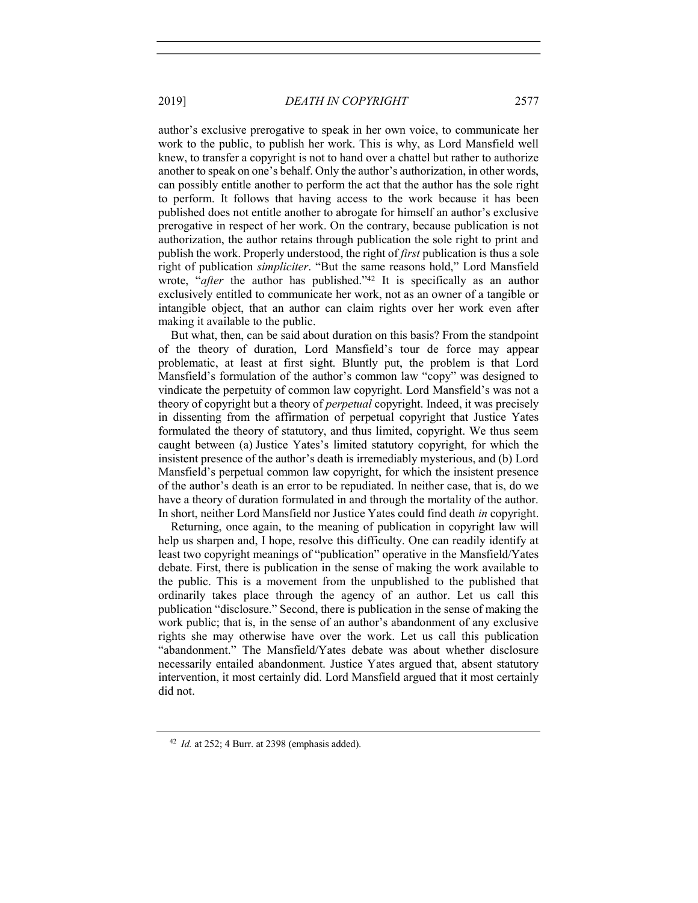author's exclusive prerogative to speak in her own voice, to communicate her work to the public, to publish her work. This is why, as Lord Mansfield well knew, to transfer a copyright is not to hand over a chattel but rather to authorize another to speak on one's behalf. Only the author's authorization, in other words, can possibly entitle another to perform the act that the author has the sole right to perform. It follows that having access to the work because it has been published does not entitle another to abrogate for himself an author's exclusive prerogative in respect of her work. On the contrary, because publication is not authorization, the author retains through publication the sole right to print and publish the work. Properly understood, the right of first publication is thus a sole right of publication simpliciter. "But the same reasons hold," Lord Mansfield wrote, "after the author has published."<sup>42</sup> It is specifically as an author exclusively entitled to communicate her work, not as an owner of a tangible or intangible object, that an author can claim rights over her work even after making it available to the public.

But what, then, can be said about duration on this basis? From the standpoint of the theory of duration, Lord Mansfield's tour de force may appear problematic, at least at first sight. Bluntly put, the problem is that Lord Mansfield's formulation of the author's common law "copy" was designed to vindicate the perpetuity of common law copyright. Lord Mansfield's was not a theory of copyright but a theory of *perpetual* copyright. Indeed, it was precisely in dissenting from the affirmation of perpetual copyright that Justice Yates formulated the theory of statutory, and thus limited, copyright. We thus seem caught between (a) Justice Yates's limited statutory copyright, for which the insistent presence of the author's death is irremediably mysterious, and (b) Lord Mansfield's perpetual common law copyright, for which the insistent presence of the author's death is an error to be repudiated. In neither case, that is, do we have a theory of duration formulated in and through the mortality of the author. In short, neither Lord Mansfield nor Justice Yates could find death in copyright.

Returning, once again, to the meaning of publication in copyright law will help us sharpen and, I hope, resolve this difficulty. One can readily identify at least two copyright meanings of "publication" operative in the Mansfield/Yates debate. First, there is publication in the sense of making the work available to the public. This is a movement from the unpublished to the published that ordinarily takes place through the agency of an author. Let us call this publication "disclosure." Second, there is publication in the sense of making the work public; that is, in the sense of an author's abandonment of any exclusive rights she may otherwise have over the work. Let us call this publication "abandonment." The Mansfield/Yates debate was about whether disclosure necessarily entailed abandonment. Justice Yates argued that, absent statutory intervention, it most certainly did. Lord Mansfield argued that it most certainly did not.

 $42$  *Id.* at 252; 4 Burr. at 2398 (emphasis added).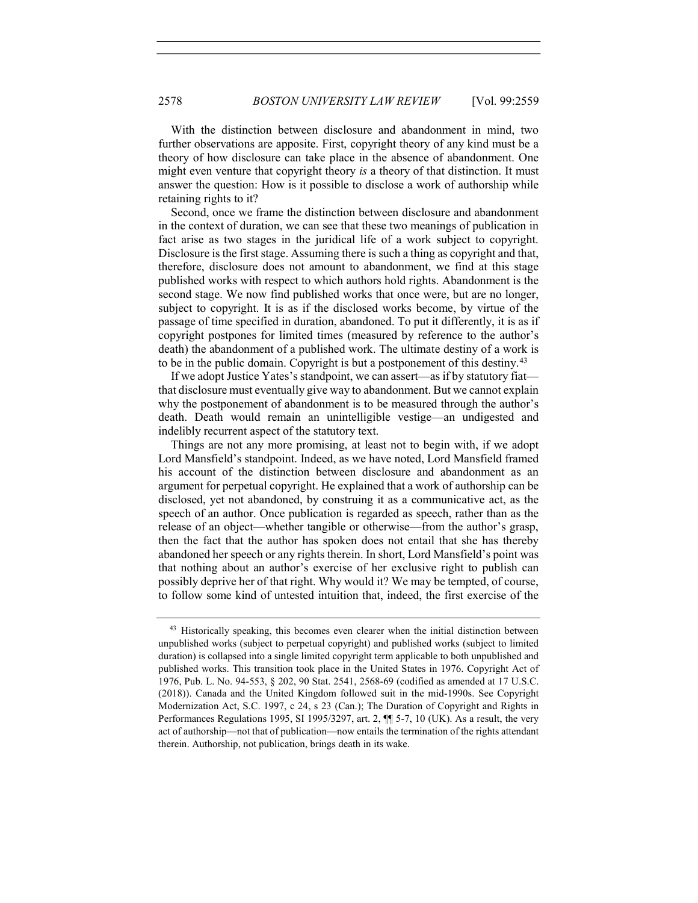With the distinction between disclosure and abandonment in mind, two further observations are apposite. First, copyright theory of any kind must be a theory of how disclosure can take place in the absence of abandonment. One might even venture that copyright theory is a theory of that distinction. It must answer the question: How is it possible to disclose a work of authorship while retaining rights to it?

Second, once we frame the distinction between disclosure and abandonment in the context of duration, we can see that these two meanings of publication in fact arise as two stages in the juridical life of a work subject to copyright. Disclosure is the first stage. Assuming there is such a thing as copyright and that, therefore, disclosure does not amount to abandonment, we find at this stage published works with respect to which authors hold rights. Abandonment is the second stage. We now find published works that once were, but are no longer, subject to copyright. It is as if the disclosed works become, by virtue of the passage of time specified in duration, abandoned. To put it differently, it is as if copyright postpones for limited times (measured by reference to the author's death) the abandonment of a published work. The ultimate destiny of a work is to be in the public domain. Copyright is but a postponement of this destiny.<sup>43</sup>

If we adopt Justice Yates's standpoint, we can assert—as if by statutory fiat that disclosure must eventually give way to abandonment. But we cannot explain why the postponement of abandonment is to be measured through the author's death. Death would remain an unintelligible vestige—an undigested and indelibly recurrent aspect of the statutory text.

Things are not any more promising, at least not to begin with, if we adopt Lord Mansfield's standpoint. Indeed, as we have noted, Lord Mansfield framed his account of the distinction between disclosure and abandonment as an argument for perpetual copyright. He explained that a work of authorship can be disclosed, yet not abandoned, by construing it as a communicative act, as the speech of an author. Once publication is regarded as speech, rather than as the release of an object—whether tangible or otherwise—from the author's grasp, then the fact that the author has spoken does not entail that she has thereby abandoned her speech or any rights therein. In short, Lord Mansfield's point was that nothing about an author's exercise of her exclusive right to publish can possibly deprive her of that right. Why would it? We may be tempted, of course, to follow some kind of untested intuition that, indeed, the first exercise of the

<sup>&</sup>lt;sup>43</sup> Historically speaking, this becomes even clearer when the initial distinction between unpublished works (subject to perpetual copyright) and published works (subject to limited duration) is collapsed into a single limited copyright term applicable to both unpublished and published works. This transition took place in the United States in 1976. Copyright Act of 1976, Pub. L. No. 94-553, § 202, 90 Stat. 2541, 2568-69 (codified as amended at 17 U.S.C. (2018)). Canada and the United Kingdom followed suit in the mid-1990s. See Copyright Modernization Act, S.C. 1997, c 24, s 23 (Can.); The Duration of Copyright and Rights in Performances Regulations 1995, SI 1995/3297, art. 2, ¶¶ 5-7, 10 (UK). As a result, the very act of authorship—not that of publication—now entails the termination of the rights attendant therein. Authorship, not publication, brings death in its wake.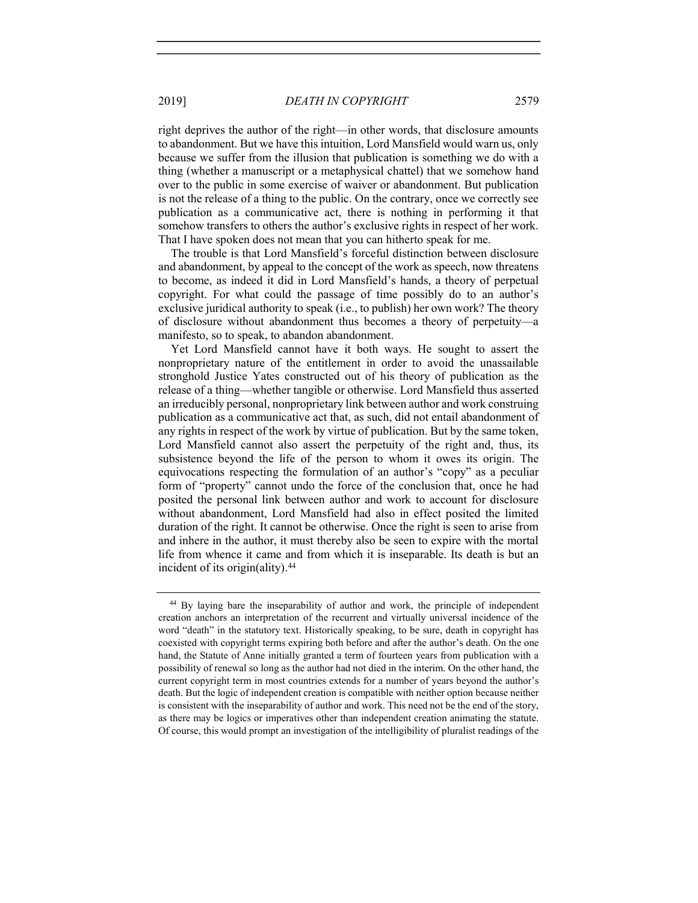right deprives the author of the right—in other words, that disclosure amounts to abandonment. But we have this intuition, Lord Mansfield would warn us, only because we suffer from the illusion that publication is something we do with a thing (whether a manuscript or a metaphysical chattel) that we somehow hand over to the public in some exercise of waiver or abandonment. But publication is not the release of a thing to the public. On the contrary, once we correctly see publication as a communicative act, there is nothing in performing it that somehow transfers to others the author's exclusive rights in respect of her work. That I have spoken does not mean that you can hitherto speak for me.

The trouble is that Lord Mansfield's forceful distinction between disclosure and abandonment, by appeal to the concept of the work as speech, now threatens to become, as indeed it did in Lord Mansfield's hands, a theory of perpetual copyright. For what could the passage of time possibly do to an author's exclusive juridical authority to speak (i.e., to publish) her own work? The theory of disclosure without abandonment thus becomes a theory of perpetuity—a manifesto, so to speak, to abandon abandonment.

Yet Lord Mansfield cannot have it both ways. He sought to assert the nonproprietary nature of the entitlement in order to avoid the unassailable stronghold Justice Yates constructed out of his theory of publication as the release of a thing—whether tangible or otherwise. Lord Mansfield thus asserted an irreducibly personal, nonproprietary link between author and work construing publication as a communicative act that, as such, did not entail abandonment of any rights in respect of the work by virtue of publication. But by the same token, Lord Mansfield cannot also assert the perpetuity of the right and, thus, its subsistence beyond the life of the person to whom it owes its origin. The equivocations respecting the formulation of an author's "copy" as a peculiar form of "property" cannot undo the force of the conclusion that, once he had posited the personal link between author and work to account for disclosure without abandonment, Lord Mansfield had also in effect posited the limited duration of the right. It cannot be otherwise. Once the right is seen to arise from and inhere in the author, it must thereby also be seen to expire with the mortal life from whence it came and from which it is inseparable. Its death is but an incident of its origin(ality).<sup>44</sup>

<sup>44</sup> By laying bare the inseparability of author and work, the principle of independent creation anchors an interpretation of the recurrent and virtually universal incidence of the word "death" in the statutory text. Historically speaking, to be sure, death in copyright has coexisted with copyright terms expiring both before and after the author's death. On the one hand, the Statute of Anne initially granted a term of fourteen years from publication with a possibility of renewal so long as the author had not died in the interim. On the other hand, the current copyright term in most countries extends for a number of years beyond the author's death. But the logic of independent creation is compatible with neither option because neither is consistent with the inseparability of author and work. This need not be the end of the story, as there may be logics or imperatives other than independent creation animating the statute. Of course, this would prompt an investigation of the intelligibility of pluralist readings of the